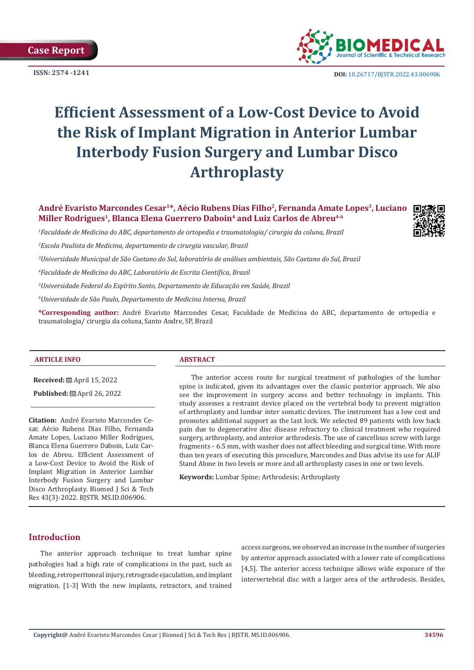**Case Report**



**ISSN:** 2574 -1241 **DOI:** [10.26717/BJSTR.2022.43.006906](https://dx.doi.org/10.26717/BJSTR.2022.43.006906)

# **Efficient Assessment of a Low-Cost Device to Avoid the Risk of Implant Migration in Anterior Lumbar Interbody Fusion Surgery and Lumbar Disco Arthroplasty**

**André Evaristo Marcondes Cesar<sup>1</sup>\*, Aécio Rubens Dias Filho<sup>2</sup>, Fernanda Amate Lopes<sup>3</sup>, Luciano Miller Rodrigues<sup>1</sup>, Blanca Elena Guerrero Daboin<sup>4</sup> and Luiz Carlos de Abreu4-6**

*1 Faculdade de Medicina do ABC, departamento de ortopedia e traumatologia/ cirurgia da coluna, Brazil*

*2 Escola Paulista de Medicina, departamento de cirurgia vascular, Brazil*

*3 Universidade Municipal de São Caetano do Sul, laboratório de análises ambientais, São Caetano do Sul, Brazil*

*4 Faculdade de Medicina do ABC, Laboratório de Escrita Científica, Brazil*

*5 Universidade Federal do Espírito Santo, Departamento de Educação em Saúde, Brazil*

*6 Universidade de São Paulo, Departamento de Medicina Interna, Brazil*

**\*Corresponding author:** André Evaristo Marcondes Cesar, Faculdade de Medicina do ABC, departamento de ortopedia e traumatologia/ cirurgia da coluna, Santo Andre, SP, Brazil

#### **ARTICLE INFO ABSTRACT**

**Received:** April 15, 2022

**Published:** ■ April 26, 2022

**Citation:** André Evaristo Marcondes Cesar, Aécio Rubens Dias Filho, Fernanda Amate Lopes, Luciano Miller Rodrigues, Blanca Elena Guerrero Daboin, Luiz Carlos de Abreu. Efficient Assessment of a Low-Cost Device to Avoid the Risk of Implant Migration in Anterior Lumbar Interbody Fusion Surgery and Lumbar Disco Arthroplasty. Biomed J Sci & Tech Res 43(3)-2022. BJSTR. MS.ID.006906.

The anterior access route for surgical treatment of pathologies of the lumbar spine is indicated, given its advantages over the classic posterior approach. We also see the improvement in surgery access and better technology in implants. This study assesses a restraint device placed on the vertebral body to prevent migration of arthroplasty and lumbar inter somatic devices. The instrument has a low cost and promotes additional support as the last lock. We selected 89 patients with low back pain due to degenerative disc disease refractory to clinical treatment who required surgery, arthroplasty, and anterior arthrodesis. The use of cancellous screw with large fragments – 6.5 mm, with washer does not affect bleeding and surgical time. With more than ten years of executing this procedure, Marcondes and Dias advise its use for ALIF Stand Alone in two levels or more and all arthroplasty cases in one or two levels.

**Keywords:** Lumbar Spine; Arthrodesis; Arthroplasty

# **Introduction**

The anterior approach technique to treat lumbar spine pathologies had a high rate of complications in the past, such as bleeding, retroperitoneal injury, retrograde ejaculation, and implant migration. [1-3] With the new implants, retractors, and trained

access surgeons, we observed an increase in the number of surgeries by anterior approach associated with a lower rate of complications [4,5]. The anterior access technique allows wide exposure of the intervertebral disc with a larger area of the arthrodesis. Besides,

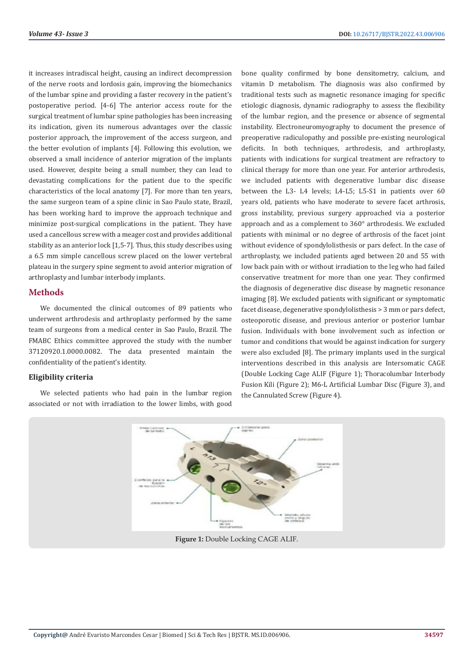it increases intradiscal height, causing an indirect decompression of the nerve roots and lordosis gain, improving the biomechanics of the lumbar spine and providing a faster recovery in the patient's postoperative period. [4-6] The anterior access route for the surgical treatment of lumbar spine pathologies has been increasing its indication, given its numerous advantages over the classic posterior approach, the improvement of the access surgeon, and the better evolution of implants [4]. Following this evolution, we observed a small incidence of anterior migration of the implants used. However, despite being a small number, they can lead to devastating complications for the patient due to the specific characteristics of the local anatomy [7]. For more than ten years, the same surgeon team of a spine clinic in Sao Paulo state, Brazil, has been working hard to improve the approach technique and minimize post-surgical complications in the patient. They have used a cancellous screw with a meager cost and provides additional stability as an anterior lock [1,5-7]. Thus, this study describes using a 6.5 mm simple cancellous screw placed on the lower vertebral plateau in the surgery spine segment to avoid anterior migration of arthroplasty and lumbar interbody implants.

# **Methods**

We documented the clinical outcomes of 89 patients who underwent arthrodesis and arthroplasty performed by the same team of surgeons from a medical center in Sao Paulo, Brazil. The FMABC Ethics committee approved the study with the number 37120920.1.0000.0082. The data presented maintain the confidentiality of the patient's identity.

## **Eligibility criteria**

We selected patients who had pain in the lumbar region associated or not with irradiation to the lower limbs, with good

bone quality confirmed by bone densitometry, calcium, and vitamin D metabolism. The diagnosis was also confirmed by traditional tests such as magnetic resonance imaging for specific etiologic diagnosis, dynamic radiography to assess the flexibility of the lumbar region, and the presence or absence of segmental instability. Electroneuromyography to document the presence of preoperative radiculopathy and possible pre-existing neurological deficits. In both techniques, arthrodesis, and arthroplasty, patients with indications for surgical treatment are refractory to clinical therapy for more than one year. For anterior arthrodesis, we included patients with degenerative lumbar disc disease between the L3- L4 levels; L4-L5; L5-S1 in patients over 60 years old, patients who have moderate to severe facet arthrosis, gross instability, previous surgery approached via a posterior approach and as a complement to 360° arthrodesis. We excluded patients with minimal or no degree of arthrosis of the facet joint without evidence of spondylolisthesis or pars defect. In the case of arthroplasty, we included patients aged between 20 and 55 with low back pain with or without irradiation to the leg who had failed conservative treatment for more than one year. They confirmed the diagnosis of degenerative disc disease by magnetic resonance imaging [8]. We excluded patients with significant or symptomatic facet disease, degenerative spondylolisthesis > 3 mm or pars defect, osteoporotic disease, and previous anterior or posterior lumbar fusion. Individuals with bone involvement such as infection or tumor and conditions that would be against indication for surgery were also excluded [8]. The primary implants used in the surgical interventions described in this analysis are Intersomatic CAGE (Double Locking Cage ALIF (Figure 1); Thoracolumbar Interbody Fusion Kili (Figure 2); M6-L Artificial Lumbar Disc (Figure 3), and the Cannulated Screw (Figure 4).



**Figure 1:** Double Locking CAGE ALIF.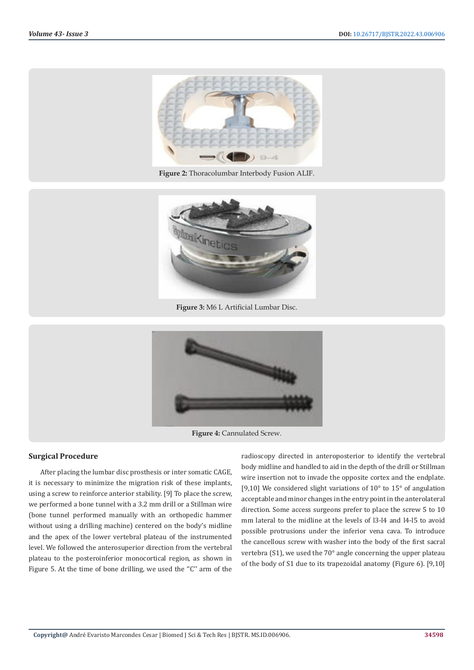

**Figure 2:** Thoracolumbar Interbody Fusion ALIF.



**Figure 3:** M6 L Artificial Lumbar Disc.



**Figure 4:** Cannulated Screw.

#### **Surgical Procedure**

After placing the lumbar disc prosthesis or inter somatic CAGE, it is necessary to minimize the migration risk of these implants, using a screw to reinforce anterior stability. [9] To place the screw, we performed a bone tunnel with a 3.2 mm drill or a Stillman wire (bone tunnel performed manually with an orthopedic hammer without using a drilling machine) centered on the body's midline and the apex of the lower vertebral plateau of the instrumented level. We followed the anterosuperior direction from the vertebral plateau to the posteroinferior monocortical region, as shown in Figure 5. At the time of bone drilling, we used the "C" arm of the

radioscopy directed in anteroposterior to identify the vertebral body midline and handled to aid in the depth of the drill or Stillman wire insertion not to invade the opposite cortex and the endplate. [9,10] We considered slight variations of 10° to 15° of angulation acceptable and minor changes in the entry point in the anterolateral direction. Some access surgeons prefer to place the screw 5 to 10 mm lateral to the midline at the levels of l3-l4 and l4-l5 to avoid possible protrusions under the inferior vena cava. To introduce the cancellous screw with washer into the body of the first sacral vertebra (S1), we used the 70° angle concerning the upper plateau of the body of S1 due to its trapezoidal anatomy (Figure 6). [9,10]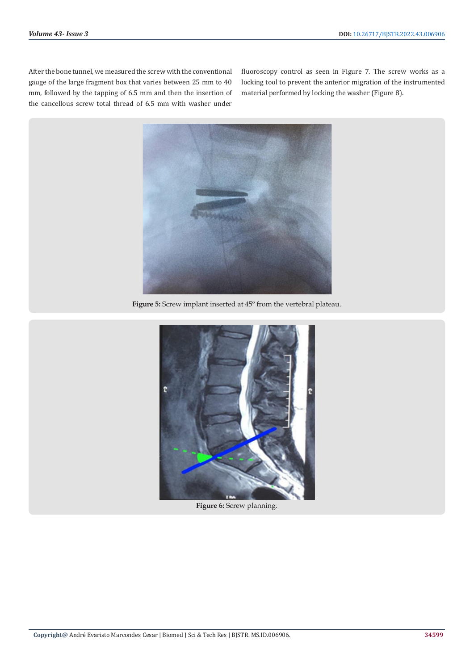After the bone tunnel, we measured the screw with the conventional gauge of the large fragment box that varies between 25 mm to 40 mm, followed by the tapping of 6.5 mm and then the insertion of the cancellous screw total thread of 6.5 mm with washer under

fluoroscopy control as seen in Figure 7. The screw works as a locking tool to prevent the anterior migration of the instrumented material performed by locking the washer (Figure 8).



**Figure 5:** Screw implant inserted at 45º from the vertebral plateau.



**Figure 6:** Screw planning.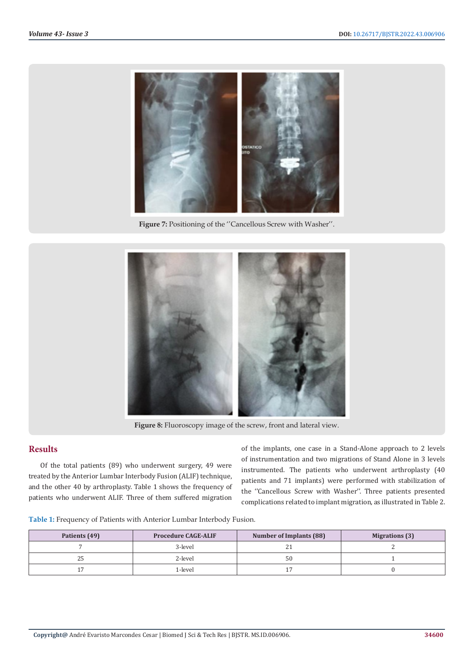

**Figure 7:** Positioning of the ''Cancellous Screw with Washer''.



**Figure 8:** Fluoroscopy image of the screw, front and lateral view.

# **Results**

Of the total patients (89) who underwent surgery, 49 were treated by the Anterior Lumbar Interbody Fusion (ALIF) technique, and the other 40 by arthroplasty. Table 1 shows the frequency of patients who underwent ALIF. Three of them suffered migration

of the implants, one case in a Stand-Alone approach to 2 levels of instrumentation and two migrations of Stand Alone in 3 levels instrumented. The patients who underwent arthroplasty (40 patients and 71 implants) were performed with stabilization of the ''Cancellous Screw with Washer''. Three patients presented complications related to implant migration, as illustrated in Table 2.

| Table 1: Frequency of Patients with Anterior Lumbar Interbody Fusion. |
|-----------------------------------------------------------------------|
|-----------------------------------------------------------------------|

| Patients (49) | <b>Procedure CAGE-ALIF</b> | <b>Number of Implants (88)</b> | <b>Migrations</b> (3) |
|---------------|----------------------------|--------------------------------|-----------------------|
|               | 3-level                    | $\sim$ 1                       |                       |
| 25            | 2-level                    | 50                             |                       |
|               | 1-level                    |                                |                       |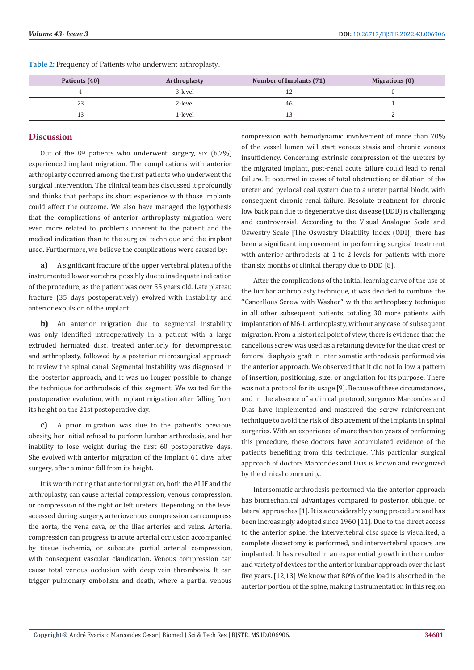| Patients (40) | <b>Arthroplasty</b> | Number of Implants (71) | <b>Migrations (0)</b> |
|---------------|---------------------|-------------------------|-----------------------|
|               | 3-level             |                         |                       |
| ں ک           | 2-level             | -46                     |                       |
| ⊥∪            | 1-level             | ⊥പ                      |                       |

**Table 2:** Frequency of Patients who underwent arthroplasty.

# **Discussion**

Out of the 89 patients who underwent surgery, six (6,7%) experienced implant migration. The complications with anterior arthroplasty occurred among the first patients who underwent the surgical intervention. The clinical team has discussed it profoundly and thinks that perhaps its short experience with those implants could affect the outcome. We also have managed the hypothesis that the complications of anterior arthroplasty migration were even more related to problems inherent to the patient and the medical indication than to the surgical technique and the implant used. Furthermore, we believe the complications were caused by:

**a)** A significant fracture of the upper vertebral plateau of the instrumented lower vertebra, possibly due to inadequate indication of the procedure, as the patient was over 55 years old. Late plateau fracture (35 days postoperatively) evolved with instability and anterior expulsion of the implant.

**b)** An anterior migration due to segmental instability was only identified intraoperatively in a patient with a large extruded herniated disc, treated anteriorly for decompression and arthroplasty, followed by a posterior microsurgical approach to review the spinal canal. Segmental instability was diagnosed in the posterior approach, and it was no longer possible to change the technique for arthrodesis of this segment. We waited for the postoperative evolution, with implant migration after falling from its height on the 21st postoperative day.

**c)** A prior migration was due to the patient's previous obesity, her initial refusal to perform lumbar arthrodesis, and her inability to lose weight during the first 60 postoperative days. She evolved with anterior migration of the implant 61 days after surgery, after a minor fall from its height.

It is worth noting that anterior migration, both the ALIF and the arthroplasty, can cause arterial compression, venous compression, or compression of the right or left ureters. Depending on the level accessed during surgery, arteriovenous compression can compress the aorta, the vena cava, or the iliac arteries and veins. Arterial compression can progress to acute arterial occlusion accompanied by tissue ischemia, or subacute partial arterial compression, with consequent vascular claudication. Venous compression can cause total venous occlusion with deep vein thrombosis. It can trigger pulmonary embolism and death, where a partial venous compression with hemodynamic involvement of more than 70% of the vessel lumen will start venous stasis and chronic venous insufficiency. Concerning extrinsic compression of the ureters by the migrated implant, post-renal acute failure could lead to renal failure. It occurred in cases of total obstruction; or dilation of the ureter and pyelocaliceal system due to a ureter partial block, with consequent chronic renal failure. Resolute treatment for chronic low back pain due to degenerative disc disease (DDD) is challenging and controversial. According to the Visual Analogue Scale and Oswestry Scale [The Oswestry Disability Index (ODI)] there has been a significant improvement in performing surgical treatment with anterior arthrodesis at 1 to 2 levels for patients with more than six months of clinical therapy due to DDD [8].

After the complications of the initial learning curve of the use of the lumbar arthroplasty technique, it was decided to combine the ''Cancellous Screw with Washer'' with the arthroplasty technique in all other subsequent patients, totaling 30 more patients with implantation of M6-L arthroplasty, without any case of subsequent migration. From a historical point of view, there is evidence that the cancellous screw was used as a retaining device for the iliac crest or femoral diaphysis graft in inter somatic arthrodesis performed via the anterior approach. We observed that it did not follow a pattern of insertion, positioning, size, or angulation for its purpose. There was not a protocol for its usage [9]. Because of these circumstances, and in the absence of a clinical protocol, surgeons Marcondes and Dias have implemented and mastered the screw reinforcement technique to avoid the risk of displacement of the implants in spinal surgeries. With an experience of more than ten years of performing this procedure, these doctors have accumulated evidence of the patients benefiting from this technique. This particular surgical approach of doctors Marcondes and Dias is known and recognized by the clinical community.

Intersomatic arthrodesis performed via the anterior approach has biomechanical advantages compared to posterior, oblique, or lateral approaches [1]. It is a considerably young procedure and has been increasingly adopted since 1960 [11]. Due to the direct access to the anterior spine, the intervertebral disc space is visualized, a complete discectomy is performed, and intervertebral spacers are implanted. It has resulted in an exponential growth in the number and variety of devices for the anterior lumbar approach over the last five years. [12,13] We know that 80% of the load is absorbed in the anterior portion of the spine, making instrumentation in this region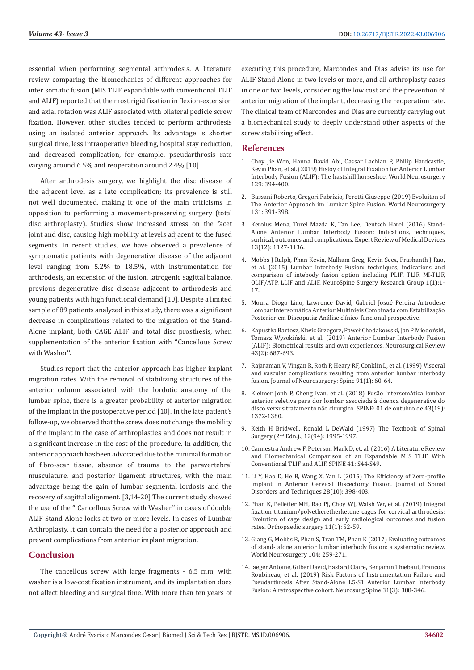essential when performing segmental arthrodesis. A literature review comparing the biomechanics of different approaches for inter somatic fusion (MIS TLIF expandable with conventional TLIF and ALIF) reported that the most rigid fixation in flexion-extension and axial rotation was ALIF associated with bilateral pedicle screw fixation. However, other studies tended to perform arthrodesis using an isolated anterior approach. Its advantage is shorter surgical time, less intraoperative bleeding, hospital stay reduction, and decreased complication, for example, pseudarthrosis rate varying around 6.5% and reoperation around 2.4% [10].

After arthrodesis surgery, we highlight the disc disease of the adjacent level as a late complication; its prevalence is still not well documented, making it one of the main criticisms in opposition to performing a movement-preserving surgery (total disc arthroplasty). Studies show increased stress on the facet joint and disc, causing high mobility at levels adjacent to the fused segments. In recent studies, we have observed a prevalence of symptomatic patients with degenerative disease of the adjacent level ranging from 5.2% to 18.5%, with instrumentation for arthrodesis, an extension of the fusion, iatrogenic sagittal balance, previous degenerative disc disease adjacent to arthrodesis and young patients with high functional demand [10]. Despite a limited sample of 89 patients analyzed in this study, there was a significant decrease in complications related to the migration of the Stand-Alone implant, both CAGE ALIF and total disc prosthesis, when supplementation of the anterior fixation with "Cancellous Screw with Washer''.

Studies report that the anterior approach has higher implant migration rates. With the removal of stabilizing structures of the anterior column associated with the lordotic anatomy of the lumbar spine, there is a greater probability of anterior migration of the implant in the postoperative period [10]. In the late patient's follow-up, we observed that the screw does not change the mobility of the implant in the case of arthroplasties and does not result in a significant increase in the cost of the procedure. In addition, the anterior approach has been advocated due to the minimal formation of fibro-scar tissue, absence of trauma to the paravertebral musculature, and posterior ligament structures, with the main advantage being the gain of lumbar segmental lordosis and the recovery of sagittal alignment. [3,14-20] The current study showed the use of the '' Cancellous Screw with Washer'' in cases of double ALIF Stand Alone locks at two or more levels. In cases of Lumbar Arthroplasty, it can contain the need for a posterior approach and prevent complications from anterior implant migration.

## **Conclusion**

The cancellous screw with large fragments - 6.5 mm, with washer is a low-cost fixation instrument, and its implantation does not affect bleeding and surgical time. With more than ten years of executing this procedure, Marcondes and Dias advise its use for ALIF Stand Alone in two levels or more, and all arthroplasty cases in one or two levels, considering the low cost and the prevention of anterior migration of the implant, decreasing the reoperation rate. The clinical team of Marcondes and Dias are currently carrying out a biomechanical study to deeply understand other aspects of the screw stabilizing effect.

## **References**

- 1. [Choy Jie Wen, Hanna David Abi, Cassar Lachlan P, Philip Hardcastle,](https://pubmed.ncbi.nlm.nih.gov/31254709/) [Kevin Phan, et al. \(2019\) Histoy of Integral Fixation for Anterior Lumbar](https://pubmed.ncbi.nlm.nih.gov/31254709/) [Interbody Fusion \(ALIF\): The hastshill horseshoe. World Neurosurgery](https://pubmed.ncbi.nlm.nih.gov/31254709/) [129: 394-400.](https://pubmed.ncbi.nlm.nih.gov/31254709/)
- 2. [Bassani Roberto, Gregori Fabrízio, Peretti Giuseppe \(2019\) Evoluiton of](https://pubmed.ncbi.nlm.nih.gov/31658581/) [The Anterior Approach im Lumbar Spine Fusion. World Neurosurgery](https://pubmed.ncbi.nlm.nih.gov/31658581/) [131: 391-398.](https://pubmed.ncbi.nlm.nih.gov/31658581/)
- 3. [Kerolus Mena, Turel Mazda K, Tan Lee, Deutsch Harel \(2016\) Stand-](https://pubmed.ncbi.nlm.nih.gov/27792409/)[Alone Anterior Lumbar Interbody Fusion: Indications, techniques,](https://pubmed.ncbi.nlm.nih.gov/27792409/) [surhical, outcomes and complications. Expert Review of Medical Devices](https://pubmed.ncbi.nlm.nih.gov/27792409/) [13\(12\): 1127-1136.](https://pubmed.ncbi.nlm.nih.gov/27792409/)
- 4. [Mobbs J Ralph, Phan Kevin, Malham Greg, Kevin Seex, Prashanth J Rao,](https://pubmed.ncbi.nlm.nih.gov/27683674/) [et al. \(2015\) Lumbar Interbody Fusion: techniques, indications and](https://pubmed.ncbi.nlm.nih.gov/27683674/) [comparison of intebody fusion option including PLIF, TLIF, MI-TLIF,](https://pubmed.ncbi.nlm.nih.gov/27683674/) [OLIF/ATP, LLIF and ALIF. NeuroSpine Surgery Research Group 1\(1\):1-](https://pubmed.ncbi.nlm.nih.gov/27683674/) [17.](https://pubmed.ncbi.nlm.nih.gov/27683674/)
- 5. Moura Diogo Lino, Lawrence David, Gabriel Josué Pereira Artrodese Lombar Intersomática Anterior Multiníeis Combinada com Estabilização Posterior em Discopatia: Análise clínico-funcional prospective.
- 6. [Kapustka Bartosz, Kiwic Grzegorz, Pawe](https://pubmed.ncbi.nlm.nih.gov/31111262/)ł Chodakowski, Jan P Miodoński, Tomasz Wysokiń[ski, et al. \(2019\) Anterior Lumbar Interbody Fusion](https://pubmed.ncbi.nlm.nih.gov/31111262/) [\(ALIF\): Biometrical results and own experiences, Neurosurgical Review](https://pubmed.ncbi.nlm.nih.gov/31111262/) [43\(2\): 687-693.](https://pubmed.ncbi.nlm.nih.gov/31111262/)
- 7. [Rajaraman V, Vingan R, Roth P, Heary RF, Conklin L, et al. \(1999\) Visceral](https://pubmed.ncbi.nlm.nih.gov/10419370/) [and vascular complications resulting from anterior lumbar interbody](https://pubmed.ncbi.nlm.nih.gov/10419370/) [fusion. Journal of Neurosurgery: Spine 91\(1\): 60-64.](https://pubmed.ncbi.nlm.nih.gov/10419370/)
- 8. Kleimer Jonh P, Cheng Ivan, et al. (2018) Fusão Intersomática lombar anterior seletiva para dor lombar associada à doença degenerative do disco versus tratamento não cirurgico. SPINE: 01 de outubro de 43(19): 1372-1380.
- 9. Keith H Bridwell, Ronald L DeWald (1997) The Textbook of Spinal Surgery (2nd Edn.)., 12(94): 1995-1997.
- 10. Cannestra Andrew F, Peterson Mark D, et. al. (2016) A Literature Review and Biomechanical Comparison of an Expandable MIS TLIF With Conventional TLIF and ALIF. SPINE 41: S44-S49.
- 11. Li Y, Hao D, He B, Wang X, Yan L (2015) The Efficiency of Zero-profile Implant in Anterior Cervical Discectomy Fusion. Journal of Spinal Disorders and Techniques 28(10): 398-403.
- 12. [Phan K, Pelletier MH, Rao Pj, Choy Wj, Walsh Wr, et al. \(2019\) Integral](https://pubmed.ncbi.nlm.nih.gov/30614216/) [fixation titanium/polyetheretherketone cages for cervical arthrodesis:](https://pubmed.ncbi.nlm.nih.gov/30614216/) [Evolution of cage design and early radiological outcomes and fusion](https://pubmed.ncbi.nlm.nih.gov/30614216/) [rates. Orthopaedic surgery 11\(1\): 52-59.](https://pubmed.ncbi.nlm.nih.gov/30614216/)
- 13. [Giang G, Mobbs R, Phan S, Tran TM, Phan K \(2017\) Evaluating outcomes](https://pubmed.ncbi.nlm.nih.gov/28502688/) [of stand- alone anterior lumbar interbody fusion: a systematic review.](https://pubmed.ncbi.nlm.nih.gov/28502688/) [World Neurosurgery 104: 259-271.](https://pubmed.ncbi.nlm.nih.gov/28502688/)
- 14. [Jaeger Antoine, Gilber David, Bastard Claire, Benjamin Thiebaut, François](https://pubmed.ncbi.nlm.nih.gov/31151106/) [Roubineau, et al. \(2019\) Risk Factors of Instrumentation Failure and](https://pubmed.ncbi.nlm.nih.gov/31151106/) [Pseudarthrosis After Stand-Alone L5-S1 Anterior Lumbar Interbody](https://pubmed.ncbi.nlm.nih.gov/31151106/) [Fusion: A retrospective cohort. Neurosurg Spine 31\(3\): 388-346.](https://pubmed.ncbi.nlm.nih.gov/31151106/)